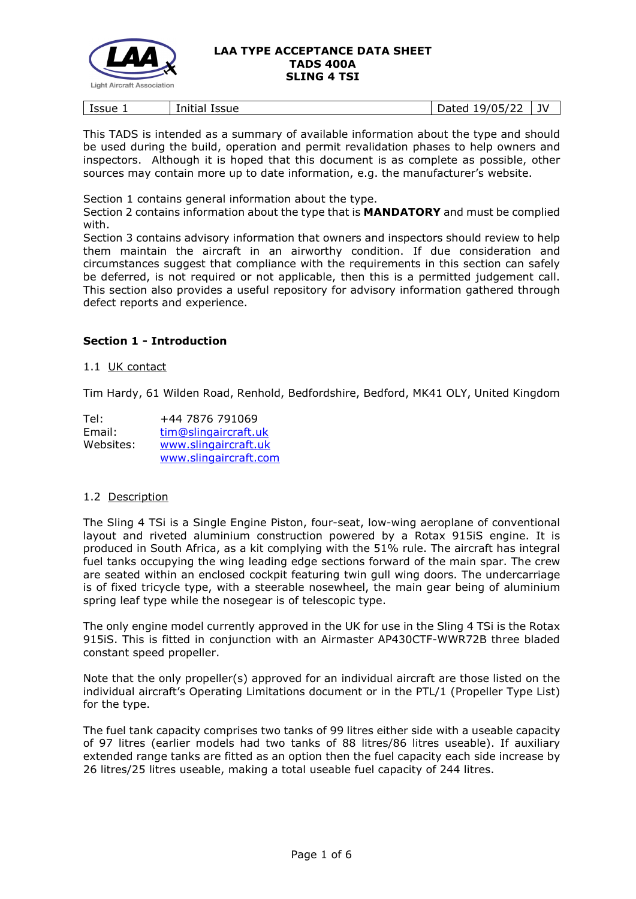

| Issue<br>. . | .<br>Initial<br><b>Issue</b> | 122<br>105/<br>ヽ⌒←⌒⊿<br>ч,<br>ے<br>ruccu | JV |
|--------------|------------------------------|------------------------------------------|----|
|              |                              |                                          |    |

This TADS is intended as a summary of available information about the type and should be used during the build, operation and permit revalidation phases to help owners and inspectors. Although it is hoped that this document is as complete as possible, other sources may contain more up to date information, e.g. the manufacturer's website.

Section 1 contains general information about the type.

Section 2 contains information about the type that is **MANDATORY** and must be complied with.

Section 3 contains advisory information that owners and inspectors should review to help them maintain the aircraft in an airworthy condition. If due consideration and circumstances suggest that compliance with the requirements in this section can safely be deferred, is not required or not applicable, then this is a permitted judgement call. This section also provides a useful repository for advisory information gathered through defect reports and experience.

## **Section 1 - Introduction**

#### 1.1 UK contact

Tim Hardy, 61 Wilden Road, Renhold, Bedfordshire, Bedford, MK41 OLY, United Kingdom

| Tel:      | +44 7876 791069       |
|-----------|-----------------------|
| Email:    | tim@slingaircraft.uk  |
| Websites: | www.slingaircraft.uk  |
|           | www.slingaircraft.com |

### 1.2 Description

The Sling 4 TSi is a Single Engine Piston, four-seat, low-wing aeroplane of conventional layout and riveted aluminium construction powered by a Rotax 915iS engine. It is produced in South Africa, as a kit complying with the 51% rule. The aircraft has integral fuel tanks occupying the wing leading edge sections forward of the main spar. The crew are seated within an enclosed cockpit featuring twin gull wing doors. The undercarriage is of fixed tricycle type, with a steerable nosewheel, the main gear being of aluminium spring leaf type while the nosegear is of telescopic type.

The only engine model currently approved in the UK for use in the Sling 4 TSi is the Rotax 915iS. This is fitted in conjunction with an Airmaster AP430CTF-WWR72B three bladed constant speed propeller.

Note that the only propeller(s) approved for an individual aircraft are those listed on the individual aircraft's Operating Limitations document or in the PTL/1 (Propeller Type List) for the type.

The fuel tank capacity comprises two tanks of 99 litres either side with a useable capacity of 97 litres (earlier models had two tanks of 88 litres/86 litres useable). If auxiliary extended range tanks are fitted as an option then the fuel capacity each side increase by 26 litres/25 litres useable, making a total useable fuel capacity of 244 litres.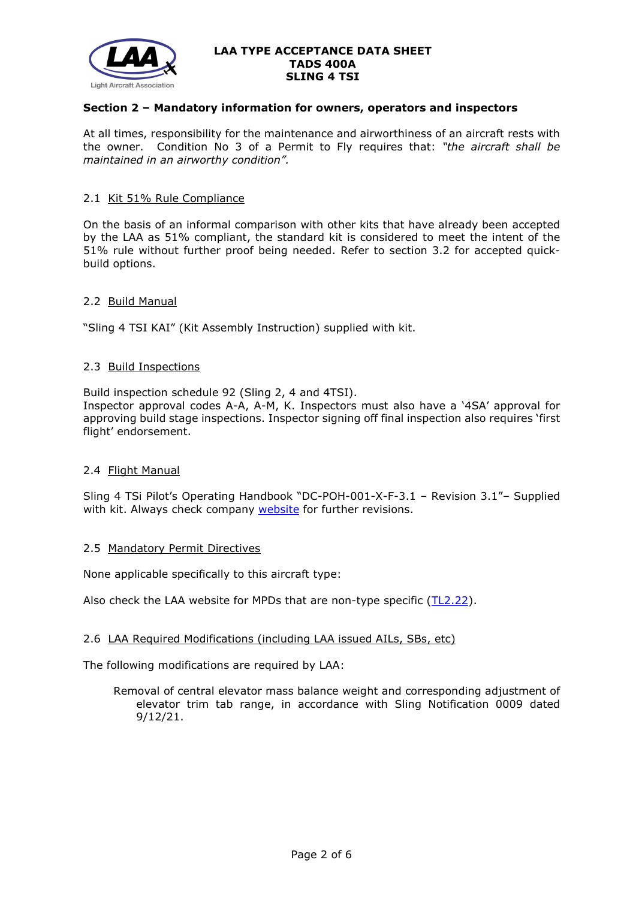

## **Section 2 – Mandatory information for owners, operators and inspectors**

At all times, responsibility for the maintenance and airworthiness of an aircraft rests with the owner. Condition No 3 of a Permit to Fly requires that: *"the aircraft shall be maintained in an airworthy condition".* 

#### 2.1 Kit 51% Rule Compliance

On the basis of an informal comparison with other kits that have already been accepted by the LAA as 51% compliant, the standard kit is considered to meet the intent of the 51% rule without further proof being needed. Refer to section 3.2 for accepted quickbuild options.

### 2.2 Build Manual

"Sling 4 TSI KAI" (Kit Assembly Instruction) supplied with kit.

#### 2.3 Build Inspections

Build inspection schedule 92 (Sling 2, 4 and 4TSI).

Inspector approval codes A-A, A-M, K. Inspectors must also have a '4SA' approval for approving build stage inspections. Inspector signing off final inspection also requires 'first flight' endorsement.

### 2.4 Flight Manual

Sling 4 TSi Pilot's Operating Handbook "DC-POH-001-X-F-3.1 – Revision 3.1"– Supplied with kit. Always check company [website](http://www.slingaircraft.com/) for further revisions.

#### 2.5 Mandatory Permit Directives

None applicable specifically to this aircraft type:

Also check the LAA website for MPDs that are non-type specific [\(TL2.22\)](http://www.lightaircraftassociation.co.uk/engineering/TechnicalLeaflets/Operating%20An%20Aircraft/TL%202.22%20non-type%20specific%20MPDs.pdf).

### 2.6 LAA Required Modifications (including LAA issued AILs, SBs, etc)

The following modifications are required by LAA:

Removal of central elevator mass balance weight and corresponding adjustment of elevator trim tab range, in accordance with Sling Notification 0009 dated 9/12/21.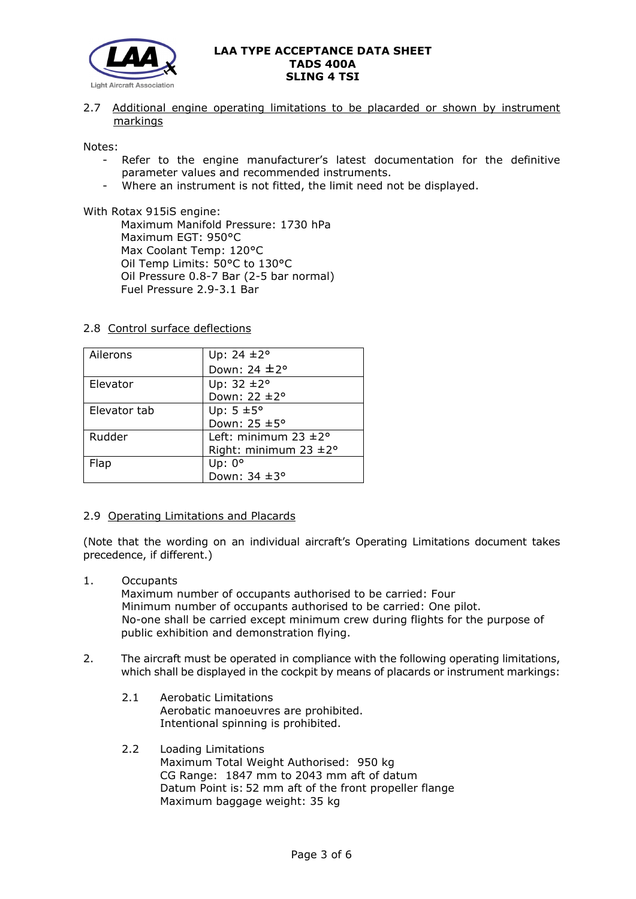

2.7 Additional engine operating limitations to be placarded or shown by instrument markings

Notes:

- Refer to the engine manufacturer's latest documentation for the definitive parameter values and recommended instruments.
- Where an instrument is not fitted, the limit need not be displayed.

With Rotax 915iS engine:

Maximum Manifold Pressure: 1730 hPa Maximum EGT: 950°C Max Coolant Temp: 120°C Oil Temp Limits: 50°C to 130°C Oil Pressure 0.8-7 Bar (2-5 bar normal) Fuel Pressure 2.9-3.1 Bar

### 2.8 Control surface deflections

| Ailerons     | Up: $24 \pm 2^{\circ}$            |
|--------------|-----------------------------------|
|              | Down: 24 ±2°                      |
| Elevator     | Up: $32 \pm 2^{\circ}$            |
|              | Down: 22 ±2°                      |
| Elevator tab | Up: $5 \pm 5^{\circ}$             |
|              | Down: 25 ±5°                      |
| Rudder       | Left: minimum $23 \pm 2^{\circ}$  |
|              | Right: minimum $23 \pm 2^{\circ}$ |
| Flap         | Up: $0^{\circ}$                   |
|              | Down: 34 ±3°                      |

### 2.9 Operating Limitations and Placards

(Note that the wording on an individual aircraft's Operating Limitations document takes precedence, if different.)

1. Occupants

Maximum number of occupants authorised to be carried: Four Minimum number of occupants authorised to be carried: One pilot. No-one shall be carried except minimum crew during flights for the purpose of public exhibition and demonstration flying.

- 2. The aircraft must be operated in compliance with the following operating limitations, which shall be displayed in the cockpit by means of placards or instrument markings:
	- 2.1 Aerobatic Limitations Aerobatic manoeuvres are prohibited. Intentional spinning is prohibited.
	- 2.2 Loading Limitations Maximum Total Weight Authorised: 950 kg CG Range: 1847 mm to 2043 mm aft of datum Datum Point is: 52 mm aft of the front propeller flange Maximum baggage weight: 35 kg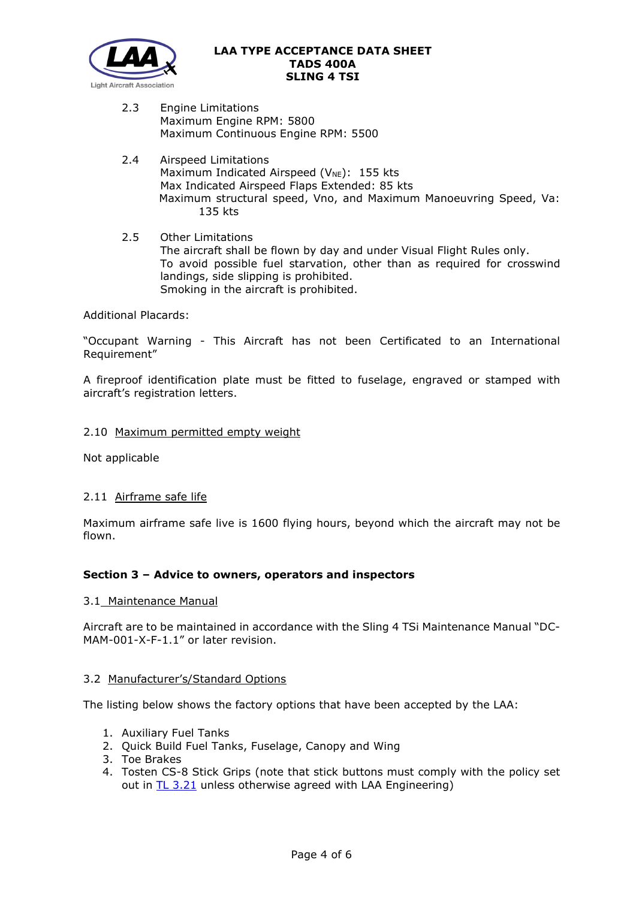

- 2.3 Engine Limitations Maximum Engine RPM: 5800 Maximum Continuous Engine RPM: 5500
- 2.4 Airspeed Limitations Maximum Indicated Airspeed ( $V_{NE}$ ): 155 kts Max Indicated Airspeed Flaps Extended: 85 kts Maximum structural speed, Vno, and Maximum Manoeuvring Speed, Va: 135 kts
- 2.5 Other Limitations The aircraft shall be flown by day and under Visual Flight Rules only. To avoid possible fuel starvation, other than as required for crosswind landings, side slipping is prohibited. Smoking in the aircraft is prohibited.

## Additional Placards:

"Occupant Warning - This Aircraft has not been Certificated to an International Requirement"

A fireproof identification plate must be fitted to fuselage, engraved or stamped with aircraft's registration letters.

### 2.10 Maximum permitted empty weight

Not applicable

### 2.11 Airframe safe life

Maximum airframe safe live is 1600 flying hours, beyond which the aircraft may not be flown.

### **Section 3 – Advice to owners, operators and inspectors**

#### 3.1 Maintenance Manual

Aircraft are to be maintained in accordance with the Sling 4 TSi Maintenance Manual "DC-MAM-001-X-F-1.1" or later revision.

### 3.2 Manufacturer's/Standard Options

The listing below shows the factory options that have been accepted by the LAA:

- 1. Auxiliary Fuel Tanks
- 2. Quick Build Fuel Tanks, Fuselage, Canopy and Wing
- 3. Toe Brakes
- 4. Tosten CS-8 Stick Grips (note that stick buttons must comply with the policy set out in **TL 3.21** unless otherwise agreed with LAA Engineering)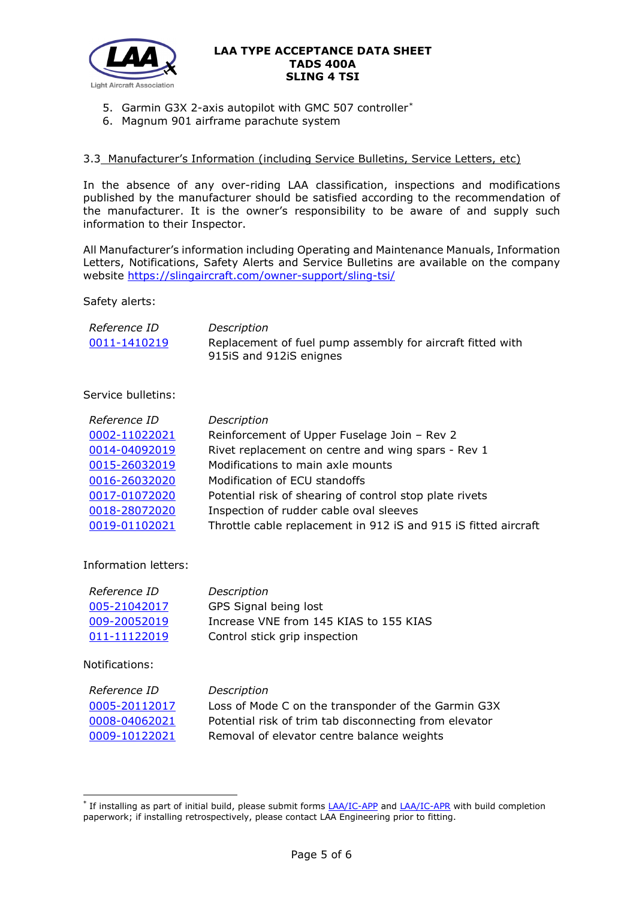

- 5. Garmin G3X 2-axis autopilot with GMC 507 controller[\\*](#page-4-0)
- 6. Magnum 901 airframe parachute system

## 3.3 Manufacturer's Information (including Service Bulletins, Service Letters, etc)

In the absence of any over-riding LAA classification, inspections and modifications published by the manufacturer should be satisfied according to the recommendation of the manufacturer. It is the owner's responsibility to be aware of and supply such information to their Inspector.

All Manufacturer's information including Operating and Maintenance Manuals, Information Letters, Notifications, Safety Alerts and Service Bulletins are available on the company website<https://slingaircraft.com/owner-support/sling-tsi/>

Safety alerts:

| Reference ID | Description                                                |
|--------------|------------------------------------------------------------|
| 0011-1410219 | Replacement of fuel pump assembly for aircraft fitted with |
|              | 915iS and 912iS enignes                                    |

## Service bulletins:

| Reference ID  | Description                                                     |
|---------------|-----------------------------------------------------------------|
| 0002-11022021 | Reinforcement of Upper Fuselage Join - Rev 2                    |
| 0014-04092019 | Rivet replacement on centre and wing spars - Rev 1              |
| 0015-26032019 | Modifications to main axle mounts                               |
| 0016-26032020 | Modification of ECU standoffs                                   |
| 0017-01072020 | Potential risk of shearing of control stop plate rivets         |
| 0018-28072020 | Inspection of rudder cable oval sleeves                         |
| 0019-01102021 | Throttle cable replacement in 912 iS and 915 iS fitted aircraft |

Information letters:

| Reference ID | Description                            |
|--------------|----------------------------------------|
| 005-21042017 | GPS Signal being lost                  |
| 009-20052019 | Increase VNE from 145 KIAS to 155 KIAS |
| 011-11122019 | Control stick grip inspection          |

Notifications:

| Reference ID  | Description                                            |
|---------------|--------------------------------------------------------|
| 0005-20112017 | Loss of Mode C on the transponder of the Garmin G3X    |
| 0008-04062021 | Potential risk of trim tab disconnecting from elevator |
| 0009-10122021 | Removal of elevator centre balance weights             |

<span id="page-4-0"></span><sup>\*</sup> If installing as part of initial build, please submit forms [LAA/IC-APP](http://www.lightaircraftassociation.co.uk/engineering/StandardForms/LAA-IC-APP%20Auto-pilot%20(Pitch)%20Inspection%20Checks.pdf) and [LAA/IC-APR](http://www.lightaircraftassociation.co.uk/engineering/StandardForms/LAA-IC-APR%20Auto-pilot%20(Roll)%20Inspection%20Checks.pdf) with build completion paperwork; if installing retrospectively, please contact LAA Engineering prior to fitting.